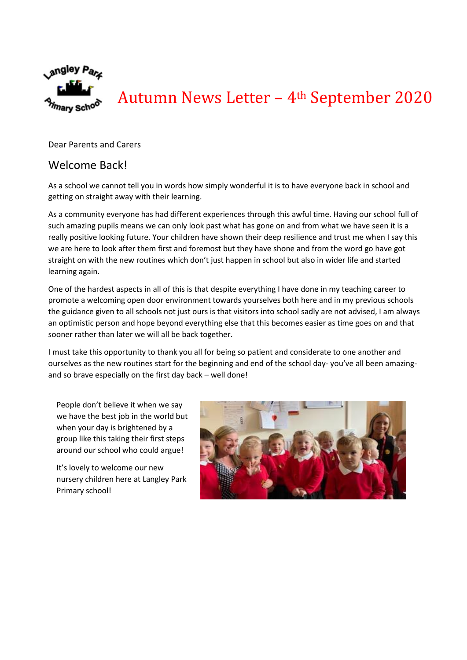

Autumn News Letter – 4th September 2020

Dear Parents and Carers

# Welcome Back!

As a school we cannot tell you in words how simply wonderful it is to have everyone back in school and getting on straight away with their learning.

As a community everyone has had different experiences through this awful time. Having our school full of such amazing pupils means we can only look past what has gone on and from what we have seen it is a really positive looking future. Your children have shown their deep resilience and trust me when I say this we are here to look after them first and foremost but they have shone and from the word go have got straight on with the new routines which don't just happen in school but also in wider life and started learning again.

One of the hardest aspects in all of this is that despite everything I have done in my teaching career to promote a welcoming open door environment towards yourselves both here and in my previous schools the guidance given to all schools not just ours is that visitors into school sadly are not advised, I am always an optimistic person and hope beyond everything else that this becomes easier as time goes on and that sooner rather than later we will all be back together.

I must take this opportunity to thank you all for being so patient and considerate to one another and ourselves as the new routines start for the beginning and end of the school day- you've all been amazingand so brave especially on the first day back – well done!

People don't believe it when we say we have the best job in the world but when your day is brightened by a group like this taking their first steps around our school who could argue!

It's lovely to welcome our new nursery children here at Langley Park Primary school!